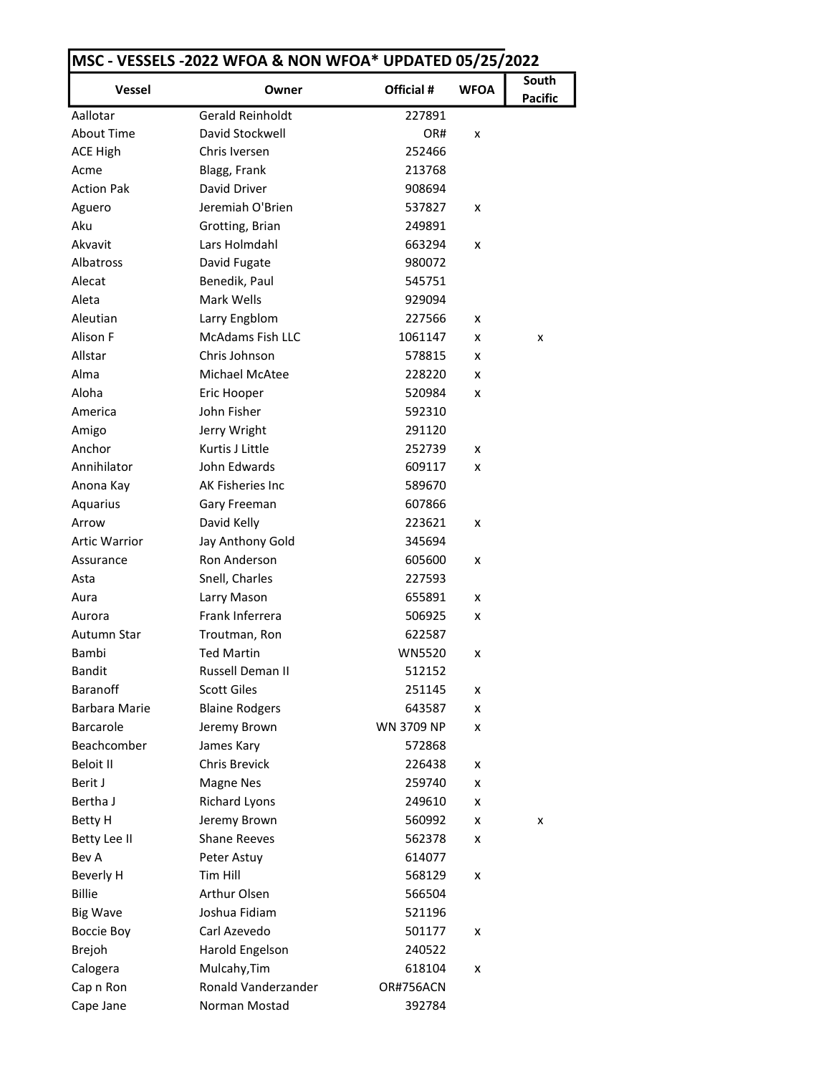|                      |                         |                   | <b>WFOA</b> | South          |
|----------------------|-------------------------|-------------------|-------------|----------------|
| <b>Vessel</b>        | Owner                   | Official #        |             | <b>Pacific</b> |
| Aallotar             | <b>Gerald Reinholdt</b> | 227891            |             |                |
| <b>About Time</b>    | David Stockwell         | OR#               | x           |                |
| <b>ACE High</b>      | Chris Iversen           | 252466            |             |                |
| Acme                 | Blagg, Frank            | 213768            |             |                |
| <b>Action Pak</b>    | David Driver            | 908694            |             |                |
| Aguero               | Jeremiah O'Brien        | 537827            | x           |                |
| Aku                  | Grotting, Brian         | 249891            |             |                |
| Akvavit              | Lars Holmdahl           | 663294            | x           |                |
| Albatross            | David Fugate            | 980072            |             |                |
| Alecat               | Benedik, Paul           | 545751            |             |                |
| Aleta                | Mark Wells              | 929094            |             |                |
| Aleutian             | Larry Engblom           | 227566            | x           |                |
| Alison F             | <b>McAdams Fish LLC</b> | 1061147           | x           | x              |
| Allstar              | Chris Johnson           | 578815            | x           |                |
| Alma                 | Michael McAtee          | 228220            | x           |                |
| Aloha                | Eric Hooper             | 520984            | x           |                |
| America              | John Fisher             | 592310            |             |                |
| Amigo                | Jerry Wright            | 291120            |             |                |
| Anchor               | Kurtis J Little         | 252739            | x           |                |
| Annihilator          | John Edwards            | 609117            | x           |                |
| Anona Kay            | AK Fisheries Inc        | 589670            |             |                |
| Aquarius             | Gary Freeman            | 607866            |             |                |
| Arrow                | David Kelly             | 223621            | x           |                |
| <b>Artic Warrior</b> | Jay Anthony Gold        | 345694            |             |                |
| Assurance            | Ron Anderson            | 605600            | x           |                |
| Asta                 | Snell, Charles          | 227593            |             |                |
| Aura                 | Larry Mason             | 655891            | x           |                |
| Aurora               | Frank Inferrera         | 506925            | x           |                |
| Autumn Star          | Troutman, Ron           | 622587            |             |                |
| Bambi                | <b>Ted Martin</b>       | <b>WN5520</b>     | x           |                |
| <b>Bandit</b>        | Russell Deman II        | 512152            |             |                |
| <b>Baranoff</b>      | <b>Scott Giles</b>      | 251145            | x           |                |
| Barbara Marie        | <b>Blaine Rodgers</b>   | 643587            | x           |                |
| <b>Barcarole</b>     | Jeremy Brown            | <b>WN 3709 NP</b> | x           |                |
| Beachcomber          | James Kary              | 572868            |             |                |
| Beloit II            | Chris Brevick           | 226438            | x           |                |
| Berit J              | Magne Nes               | 259740            | x           |                |
| Bertha J             | <b>Richard Lyons</b>    | 249610            | x           |                |
| <b>Betty H</b>       | Jeremy Brown            | 560992            | x           | x              |
| Betty Lee II         | <b>Shane Reeves</b>     | 562378            | x           |                |
| Bev A                | Peter Astuy             | 614077            |             |                |
| Beverly H            | Tim Hill                | 568129            | x           |                |
| <b>Billie</b>        | Arthur Olsen            | 566504            |             |                |
| <b>Big Wave</b>      | Joshua Fidiam           | 521196            |             |                |
| Boccie Boy           | Carl Azevedo            | 501177            | x           |                |
| <b>Brejoh</b>        | Harold Engelson         | 240522            |             |                |
| Calogera             | Mulcahy, Tim            | 618104            | x           |                |
| Cap n Ron            | Ronald Vanderzander     | OR#756ACN         |             |                |
| Cape Jane            | Norman Mostad           | 392784            |             |                |
|                      |                         |                   |             |                |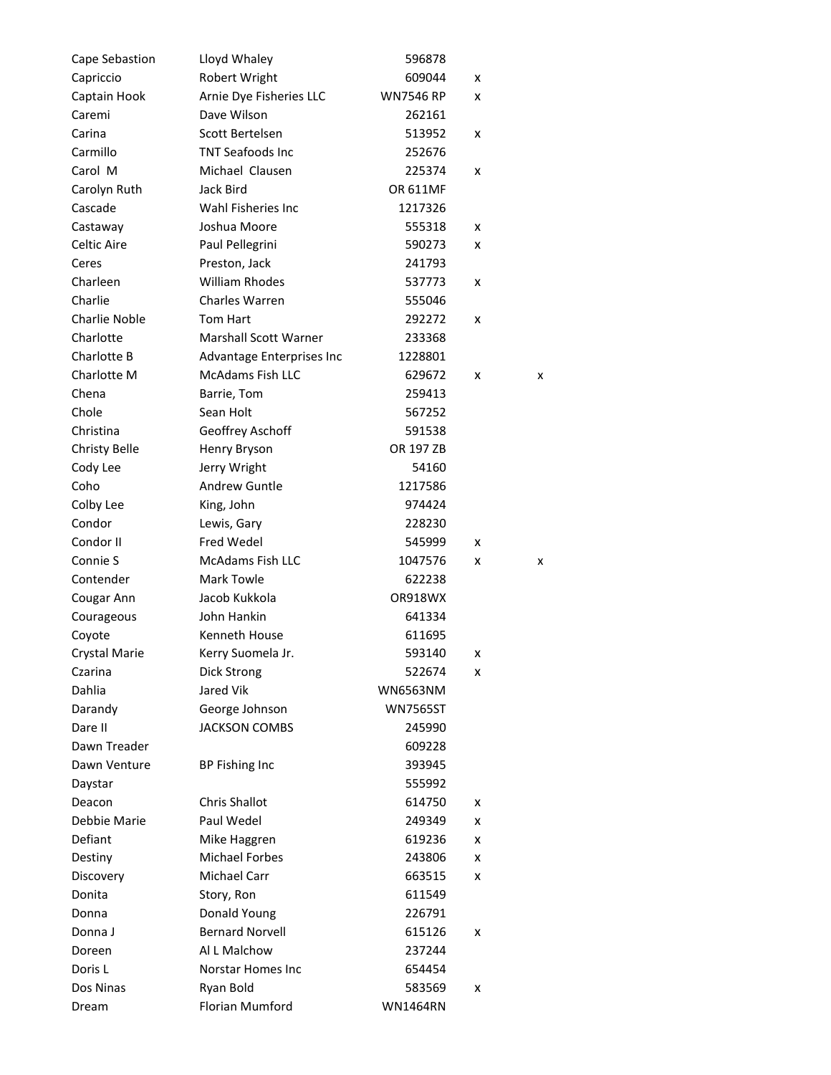| Cape Sebastion       | Lloyd Whaley                 | 596878           |   |   |
|----------------------|------------------------------|------------------|---|---|
| Capriccio            | Robert Wright                | 609044           | x |   |
| Captain Hook         | Arnie Dye Fisheries LLC      | <b>WN7546 RP</b> | x |   |
| Caremi               | Dave Wilson                  | 262161           |   |   |
| Carina               | Scott Bertelsen              | 513952           | x |   |
| Carmillo             | <b>TNT Seafoods Inc</b>      | 252676           |   |   |
| Carol M              | Michael Clausen              | 225374           | x |   |
| Carolyn Ruth         | Jack Bird                    | <b>OR 611MF</b>  |   |   |
| Cascade              | Wahl Fisheries Inc           | 1217326          |   |   |
| Castaway             | Joshua Moore                 | 555318           | x |   |
| Celtic Aire          | Paul Pellegrini              | 590273           | x |   |
| Ceres                | Preston, Jack                | 241793           |   |   |
| Charleen             | <b>William Rhodes</b>        | 537773           | x |   |
| Charlie              | <b>Charles Warren</b>        | 555046           |   |   |
| <b>Charlie Noble</b> | Tom Hart                     | 292272           | x |   |
| Charlotte            | <b>Marshall Scott Warner</b> | 233368           |   |   |
| Charlotte B          | Advantage Enterprises Inc    | 1228801          |   |   |
| Charlotte M          | <b>McAdams Fish LLC</b>      | 629672           | x | x |
| Chena                | Barrie, Tom                  | 259413           |   |   |
| Chole                | Sean Holt                    | 567252           |   |   |
| Christina            | Geoffrey Aschoff             | 591538           |   |   |
| <b>Christy Belle</b> | Henry Bryson                 | OR 197 ZB        |   |   |
| Cody Lee             | Jerry Wright                 | 54160            |   |   |
| Coho                 | Andrew Guntle                | 1217586          |   |   |
| Colby Lee            | King, John                   | 974424           |   |   |
| Condor               | Lewis, Gary                  | 228230           |   |   |
| Condor II            | <b>Fred Wedel</b>            | 545999           | x |   |
| Connie S             | <b>McAdams Fish LLC</b>      | 1047576          | x | x |
| Contender            | <b>Mark Towle</b>            | 622238           |   |   |
| Cougar Ann           | Jacob Kukkola                | OR918WX          |   |   |
| Courageous           | John Hankin                  | 641334           |   |   |
| Coyote               | <b>Kenneth House</b>         | 611695           |   |   |
| Crystal Marie        | Kerry Suomela Jr.            | 593140           | x |   |
| Czarina              | Dick Strong                  | 522674           | x |   |
| Dahlia               | Jared Vik                    | <b>WN6563NM</b>  |   |   |
| Darandy              | George Johnson               | <b>WN7565ST</b>  |   |   |
| Dare II              | <b>JACKSON COMBS</b>         | 245990           |   |   |
| Dawn Treader         |                              | 609228           |   |   |
| Dawn Venture         | BP Fishing Inc               | 393945           |   |   |
| Daystar              |                              | 555992           |   |   |
| Deacon               | <b>Chris Shallot</b>         | 614750           | x |   |
| Debbie Marie         | Paul Wedel                   | 249349           | x |   |
| Defiant              | Mike Haggren                 | 619236           | x |   |
| Destiny              | <b>Michael Forbes</b>        | 243806           | x |   |
| Discovery            | Michael Carr                 | 663515           | x |   |
| Donita               | Story, Ron                   | 611549           |   |   |
| Donna                | Donald Young                 | 226791           |   |   |
| Donna J              | <b>Bernard Norvell</b>       | 615126           | x |   |
| Doreen               | Al L Malchow                 | 237244           |   |   |
| Doris L              | Norstar Homes Inc            | 654454           |   |   |
| Dos Ninas            | Ryan Bold                    | 583569           | x |   |
| Dream                | Florian Mumford              | <b>WN1464RN</b>  |   |   |
|                      |                              |                  |   |   |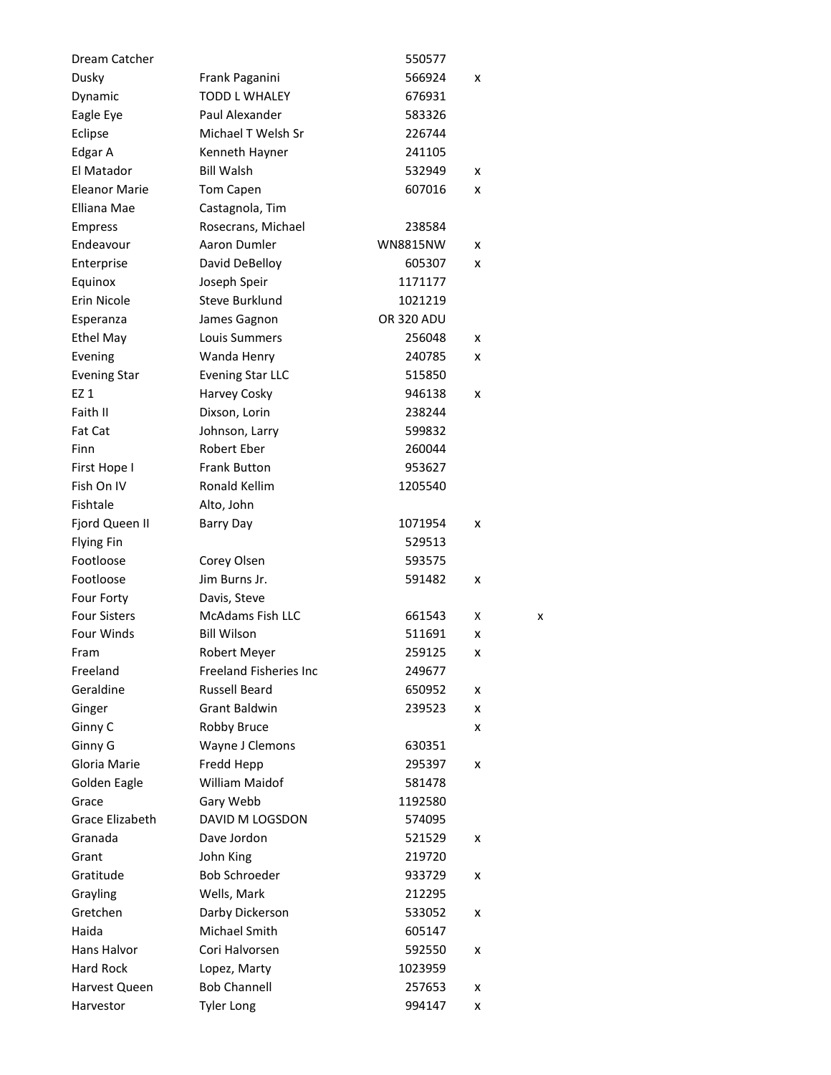| Dream Catcher       |                               | 550577            |   |   |
|---------------------|-------------------------------|-------------------|---|---|
| Dusky               | Frank Paganini                | 566924            | x |   |
| Dynamic             | <b>TODD L WHALEY</b>          | 676931            |   |   |
| Eagle Eye           | Paul Alexander                | 583326            |   |   |
| Eclipse             | Michael T Welsh Sr            | 226744            |   |   |
| Edgar A             | Kenneth Hayner                | 241105            |   |   |
| El Matador          | <b>Bill Walsh</b>             | 532949            | x |   |
| Eleanor Marie       | <b>Tom Capen</b>              | 607016            | x |   |
| Elliana Mae         | Castagnola, Tim               |                   |   |   |
| <b>Empress</b>      | Rosecrans, Michael            | 238584            |   |   |
| Endeavour           | Aaron Dumler                  | <b>WN8815NW</b>   | x |   |
| Enterprise          | David DeBelloy                | 605307            | x |   |
| Equinox             | Joseph Speir                  | 1171177           |   |   |
| Erin Nicole         | Steve Burklund                | 1021219           |   |   |
| Esperanza           | James Gagnon                  | <b>OR 320 ADU</b> |   |   |
| <b>Ethel May</b>    | Louis Summers                 | 256048            | x |   |
| Evening             | Wanda Henry                   | 240785            | x |   |
| <b>Evening Star</b> | <b>Evening Star LLC</b>       | 515850            |   |   |
| EZ 1                | Harvey Cosky                  | 946138            | x |   |
| Faith II            | Dixson, Lorin                 | 238244            |   |   |
| Fat Cat             | Johnson, Larry                | 599832            |   |   |
| Finn                | <b>Robert Eber</b>            | 260044            |   |   |
| First Hope I        | <b>Frank Button</b>           | 953627            |   |   |
| Fish On IV          | Ronald Kellim                 | 1205540           |   |   |
| Fishtale            | Alto, John                    |                   |   |   |
| Fjord Queen II      | Barry Day                     | 1071954           | x |   |
| <b>Flying Fin</b>   |                               | 529513            |   |   |
| Footloose           | Corey Olsen                   | 593575            |   |   |
| Footloose           | Jim Burns Jr.                 | 591482            | x |   |
| Four Forty          | Davis, Steve                  |                   |   |   |
| <b>Four Sisters</b> | <b>McAdams Fish LLC</b>       | 661543            | х | x |
| Four Winds          | <b>Bill Wilson</b>            | 511691            | x |   |
| Fram                | Robert Meyer                  | 259125            | x |   |
| Freeland            | <b>Freeland Fisheries Inc</b> | 249677            |   |   |
| Geraldine           | <b>Russell Beard</b>          | 650952            | x |   |
| Ginger              | Grant Baldwin                 | 239523            | x |   |
| Ginny C             | Robby Bruce                   |                   | x |   |
| Ginny G             | Wayne J Clemons               | 630351            |   |   |
| Gloria Marie        | Fredd Hepp                    | 295397            | x |   |
| Golden Eagle        | William Maidof                | 581478            |   |   |
| Grace               | Gary Webb                     | 1192580           |   |   |
| Grace Elizabeth     | DAVID M LOGSDON               | 574095            |   |   |
| Granada             | Dave Jordon                   | 521529            | x |   |
| Grant               | John King                     | 219720            |   |   |
| Gratitude           | <b>Bob Schroeder</b>          | 933729            | x |   |
| Grayling            | Wells, Mark                   | 212295            |   |   |
| Gretchen            | Darby Dickerson               | 533052            | x |   |
| Haida               | Michael Smith                 | 605147            |   |   |
| Hans Halvor         | Cori Halvorsen                | 592550            | x |   |
| Hard Rock           | Lopez, Marty                  | 1023959           |   |   |
| Harvest Queen       | <b>Bob Channell</b>           | 257653            | x |   |
| Harvestor           | <b>Tyler Long</b>             | 994147            | x |   |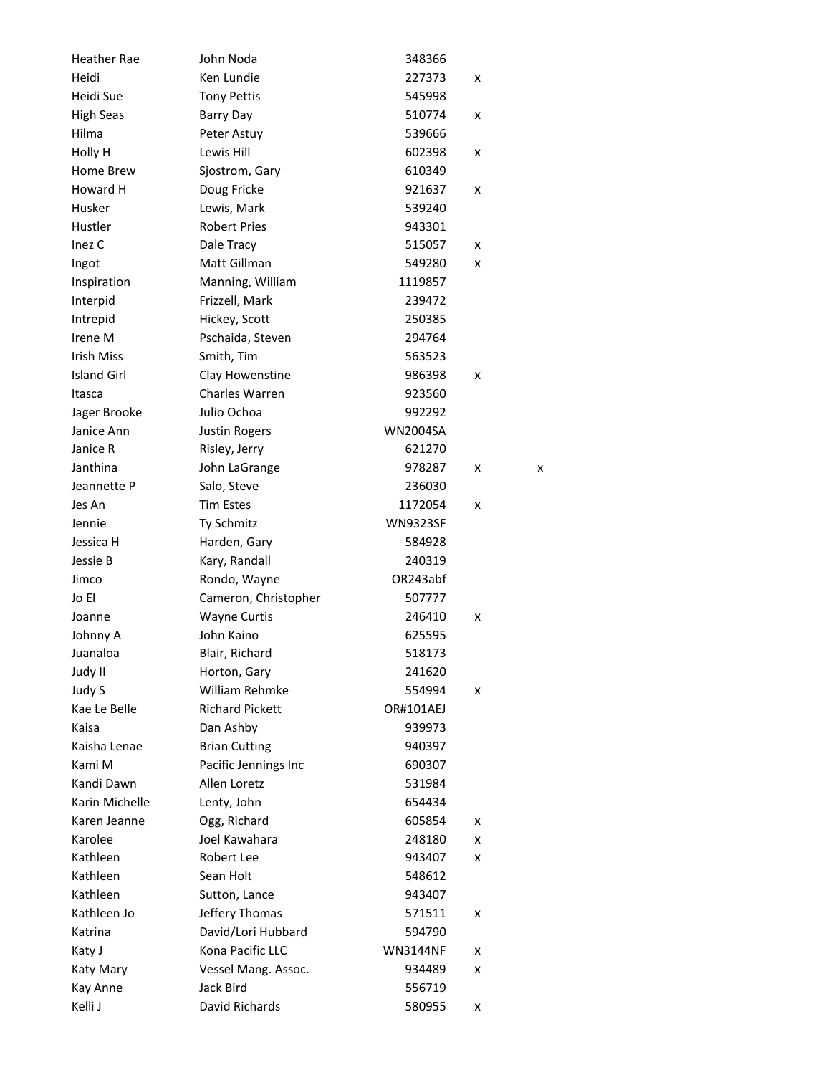| <b>Heather Rae</b> | John Noda              | 348366          |   |   |
|--------------------|------------------------|-----------------|---|---|
| Heidi              | Ken Lundie             | 227373          | x |   |
| Heidi Sue          | <b>Tony Pettis</b>     | 545998          |   |   |
| <b>High Seas</b>   | Barry Day              | 510774          | x |   |
| Hilma              | Peter Astuy            | 539666          |   |   |
| Holly H            | Lewis Hill             | 602398          | x |   |
| Home Brew          | Sjostrom, Gary         | 610349          |   |   |
| Howard H           | Doug Fricke            | 921637          | x |   |
| Husker             | Lewis, Mark            | 539240          |   |   |
| Hustler            | <b>Robert Pries</b>    | 943301          |   |   |
| Inez <sub>C</sub>  | Dale Tracy             | 515057          | x |   |
| Ingot              | Matt Gillman           | 549280          | x |   |
| Inspiration        | Manning, William       | 1119857         |   |   |
| Interpid           | Frizzell, Mark         | 239472          |   |   |
| Intrepid           | Hickey, Scott          | 250385          |   |   |
| Irene M            | Pschaida, Steven       | 294764          |   |   |
| <b>Irish Miss</b>  | Smith, Tim             | 563523          |   |   |
| <b>Island Girl</b> | Clay Howenstine        | 986398          | x |   |
| Itasca             | <b>Charles Warren</b>  | 923560          |   |   |
| Jager Brooke       | Julio Ochoa            | 992292          |   |   |
| Janice Ann         | <b>Justin Rogers</b>   | <b>WN2004SA</b> |   |   |
| Janice R           | Risley, Jerry          | 621270          |   |   |
| Janthina           | John LaGrange          | 978287          | x | x |
| Jeannette P        | Salo, Steve            | 236030          |   |   |
| Jes An             | <b>Tim Estes</b>       | 1172054         | x |   |
| Jennie             | Ty Schmitz             | <b>WN9323SF</b> |   |   |
| Jessica H          | Harden, Gary           | 584928          |   |   |
| Jessie B           | Kary, Randall          | 240319          |   |   |
| Jimco              | Rondo, Wayne           | OR243abf        |   |   |
| Jo El              | Cameron, Christopher   | 507777          |   |   |
| Joanne             | <b>Wayne Curtis</b>    | 246410          | x |   |
| Johnny A           | John Kaino             | 625595          |   |   |
| Juanaloa           | Blair, Richard         | 518173          |   |   |
| Judy II            | Horton, Gary           | 241620          |   |   |
| Judy S             | William Rehmke         | 554994          | x |   |
| Kae Le Belle       | <b>Richard Pickett</b> | OR#101AEJ       |   |   |
| Kaisa              | Dan Ashby              | 939973          |   |   |
| Kaisha Lenae       | <b>Brian Cutting</b>   | 940397          |   |   |
| Kami M             | Pacific Jennings Inc   | 690307          |   |   |
| Kandi Dawn         | Allen Loretz           | 531984          |   |   |
| Karin Michelle     | Lenty, John            | 654434          |   |   |
| Karen Jeanne       | Ogg, Richard           | 605854          | x |   |
| Karolee            | Joel Kawahara          | 248180          | x |   |
| Kathleen           | Robert Lee             | 943407          | x |   |
| Kathleen           | Sean Holt              | 548612          |   |   |
| Kathleen           | Sutton, Lance          | 943407          |   |   |
| Kathleen Jo        | Jeffery Thomas         | 571511          | x |   |
| Katrina            | David/Lori Hubbard     | 594790          |   |   |
| Katy J             | Kona Pacific LLC       | <b>WN3144NF</b> | x |   |
| Katy Mary          | Vessel Mang. Assoc.    | 934489          | x |   |
| Kay Anne           | Jack Bird              | 556719          |   |   |
| Kelli J            | David Richards         | 580955          |   |   |
|                    |                        |                 | x |   |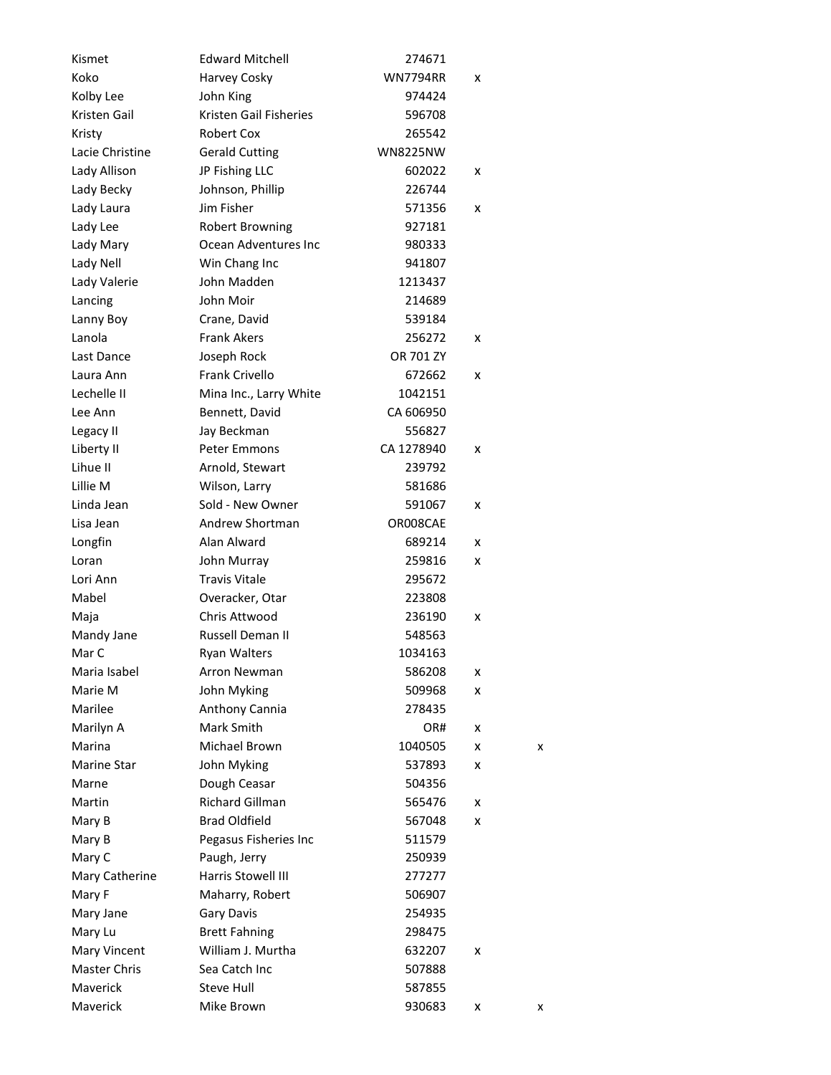| Kismet          | <b>Edward Mitchell</b>        | 274671          |   |   |
|-----------------|-------------------------------|-----------------|---|---|
| Koko            | Harvey Cosky                  | <b>WN7794RR</b> | x |   |
| Kolby Lee       | John King                     | 974424          |   |   |
| Kristen Gail    | <b>Kristen Gail Fisheries</b> | 596708          |   |   |
| Kristy          | Robert Cox                    | 265542          |   |   |
| Lacie Christine | <b>Gerald Cutting</b>         | <b>WN8225NW</b> |   |   |
| Lady Allison    | JP Fishing LLC                | 602022          | x |   |
| Lady Becky      | Johnson, Phillip              | 226744          |   |   |
| Lady Laura      | Jim Fisher                    | 571356          | x |   |
| Lady Lee        | <b>Robert Browning</b>        | 927181          |   |   |
| Lady Mary       | Ocean Adventures Inc          | 980333          |   |   |
| Lady Nell       | Win Chang Inc                 | 941807          |   |   |
| Lady Valerie    | John Madden                   | 1213437         |   |   |
| Lancing         | John Moir                     | 214689          |   |   |
| Lanny Boy       | Crane, David                  | 539184          |   |   |
| Lanola          | <b>Frank Akers</b>            | 256272          | x |   |
| Last Dance      | Joseph Rock                   | OR 701 ZY       |   |   |
| Laura Ann       | <b>Frank Crivello</b>         | 672662          | x |   |
| Lechelle II     | Mina Inc., Larry White        | 1042151         |   |   |
| Lee Ann         | Bennett, David                | CA 606950       |   |   |
| Legacy II       | Jay Beckman                   | 556827          |   |   |
| Liberty II      | <b>Peter Emmons</b>           | CA 1278940      | x |   |
| Lihue II        | Arnold, Stewart               | 239792          |   |   |
| Lillie M        | Wilson, Larry                 | 581686          |   |   |
| Linda Jean      | Sold - New Owner              | 591067          | x |   |
| Lisa Jean       | Andrew Shortman               | OR008CAE        |   |   |
| Longfin         | Alan Alward                   | 689214          | x |   |
| Loran           | John Murray                   | 259816          | x |   |
| Lori Ann        | <b>Travis Vitale</b>          | 295672          |   |   |
| Mabel           | Overacker, Otar               | 223808          |   |   |
| Maja            | Chris Attwood                 | 236190          | x |   |
| Mandy Jane      | <b>Russell Deman II</b>       | 548563          |   |   |
| Mar C           | <b>Ryan Walters</b>           | 1034163         |   |   |
| Maria Isabel    | <b>Arron Newman</b>           | 586208          | x |   |
| Marie M         | John Myking                   | 509968          | x |   |
| Marilee         | Anthony Cannia                | 278435          |   |   |
| Marilyn A       | Mark Smith                    | OR#             | x |   |
| Marina          | Michael Brown                 | 1040505         | x | x |
| Marine Star     | John Myking                   | 537893          | x |   |
| Marne           | Dough Ceasar                  | 504356          |   |   |
| Martin          | Richard Gillman               | 565476          | x |   |
| Mary B          | <b>Brad Oldfield</b>          | 567048          | x |   |
| Mary B          | Pegasus Fisheries Inc         | 511579          |   |   |
| Mary C          | Paugh, Jerry                  | 250939          |   |   |
| Mary Catherine  | Harris Stowell III            | 277277          |   |   |
| Mary F          | Maharry, Robert               | 506907          |   |   |
| Mary Jane       | <b>Gary Davis</b>             | 254935          |   |   |
| Mary Lu         | <b>Brett Fahning</b>          | 298475          |   |   |
| Mary Vincent    | William J. Murtha             | 632207          | x |   |
| Master Chris    | Sea Catch Inc                 | 507888          |   |   |
| Maverick        | <b>Steve Hull</b>             | 587855          |   |   |
| Maverick        | Mike Brown                    | 930683          | x | x |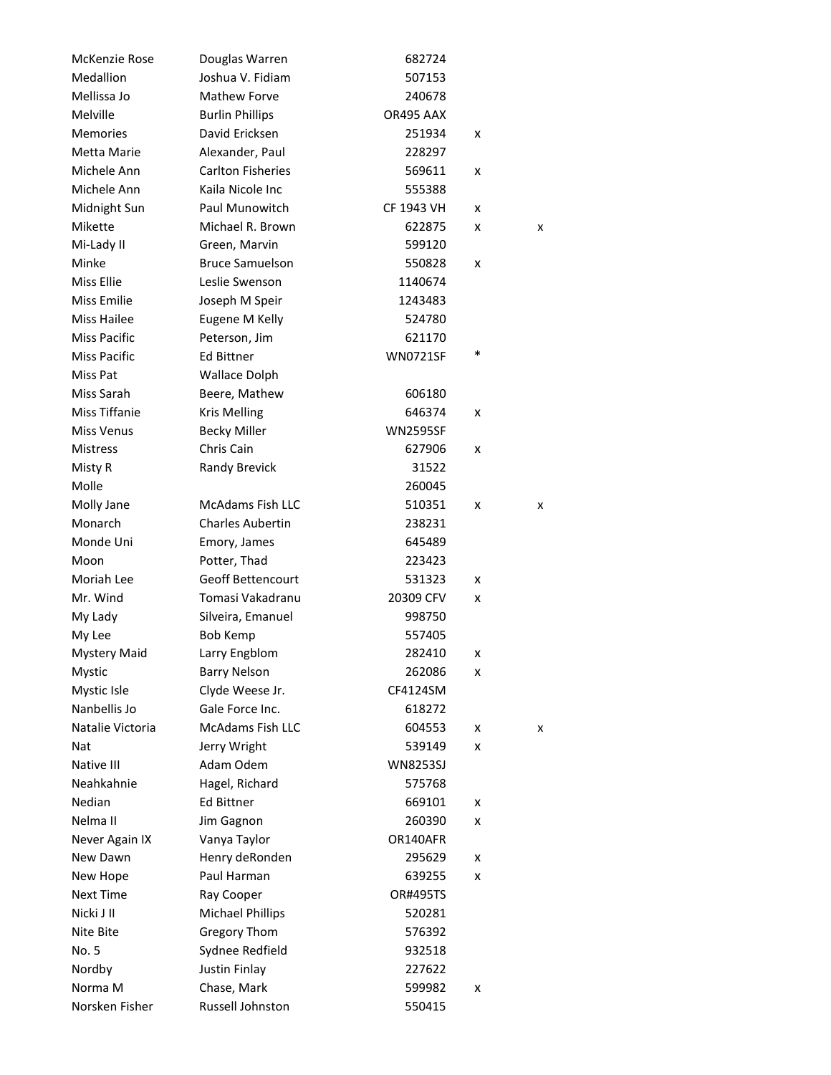| McKenzie Rose       | Douglas Warren           | 682724          |   |   |
|---------------------|--------------------------|-----------------|---|---|
| Medallion           | Joshua V. Fidiam         | 507153          |   |   |
| Mellissa Jo         | <b>Mathew Forve</b>      | 240678          |   |   |
| Melville            | <b>Burlin Phillips</b>   | OR495 AAX       |   |   |
| <b>Memories</b>     | David Ericksen           | 251934          | x |   |
| Metta Marie         | Alexander, Paul          | 228297          |   |   |
| Michele Ann         | <b>Carlton Fisheries</b> | 569611          | x |   |
| Michele Ann         | Kaila Nicole Inc         | 555388          |   |   |
| Midnight Sun        | Paul Munowitch           | CF 1943 VH      | x |   |
| Mikette             | Michael R. Brown         | 622875          | x | x |
| Mi-Lady II          | Green, Marvin            | 599120          |   |   |
| Minke               | <b>Bruce Samuelson</b>   | 550828          | x |   |
| Miss Ellie          | Leslie Swenson           | 1140674         |   |   |
| Miss Emilie         | Joseph M Speir           | 1243483         |   |   |
| <b>Miss Hailee</b>  | Eugene M Kelly           | 524780          |   |   |
| Miss Pacific        | Peterson, Jim            | 621170          |   |   |
| <b>Miss Pacific</b> | Ed Bittner               | <b>WN0721SF</b> | * |   |
| Miss Pat            | <b>Wallace Dolph</b>     |                 |   |   |
| Miss Sarah          | Beere, Mathew            | 606180          |   |   |
| Miss Tiffanie       | <b>Kris Melling</b>      | 646374          | x |   |
| <b>Miss Venus</b>   | <b>Becky Miller</b>      | <b>WN2595SF</b> |   |   |
| <b>Mistress</b>     | Chris Cain               | 627906          | x |   |
| Misty R             | Randy Brevick            | 31522           |   |   |
| Molle               |                          | 260045          |   |   |
| Molly Jane          | <b>McAdams Fish LLC</b>  | 510351          | x | x |
| Monarch             | <b>Charles Aubertin</b>  | 238231          |   |   |
| Monde Uni           | Emory, James             | 645489          |   |   |
| Moon                | Potter, Thad             | 223423          |   |   |
| Moriah Lee          | <b>Geoff Bettencourt</b> | 531323          | x |   |
| Mr. Wind            | Tomasi Vakadranu         | 20309 CFV       | x |   |
| My Lady             | Silveira, Emanuel        | 998750          |   |   |
| My Lee              | <b>Bob Kemp</b>          | 557405          |   |   |
| <b>Mystery Maid</b> | Larry Engblom            | 282410          | x |   |
| Mystic              | <b>Barry Nelson</b>      | 262086          | x |   |
| Mystic Isle         | Clyde Weese Jr.          | CF4124SM        |   |   |
| Nanbellis Jo        | Gale Force Inc.          | 618272          |   |   |
| Natalie Victoria    | <b>McAdams Fish LLC</b>  | 604553          | x | x |
| Nat                 | Jerry Wright             | 539149          | x |   |
| Native III          | Adam Odem                | <b>WN8253SJ</b> |   |   |
| Neahkahnie          | Hagel, Richard           | 575768          |   |   |
| Nedian              | <b>Ed Bittner</b>        | 669101          | x |   |
| Nelma II            | Jim Gagnon               | 260390          | x |   |
| Never Again IX      | Vanya Taylor             | OR140AFR        |   |   |
| New Dawn            | Henry deRonden           | 295629          | x |   |
| New Hope            | Paul Harman              | 639255          | x |   |
| <b>Next Time</b>    | Ray Cooper               | <b>OR#495TS</b> |   |   |
| Nicki J II          | <b>Michael Phillips</b>  | 520281          |   |   |
| Nite Bite           | <b>Gregory Thom</b>      | 576392          |   |   |
| No. 5               | Sydnee Redfield          | 932518          |   |   |
| Nordby              | Justin Finlay            | 227622          |   |   |
| Norma <sub>M</sub>  | Chase, Mark              | 599982          | x |   |
| Norsken Fisher      | Russell Johnston         | 550415          |   |   |
|                     |                          |                 |   |   |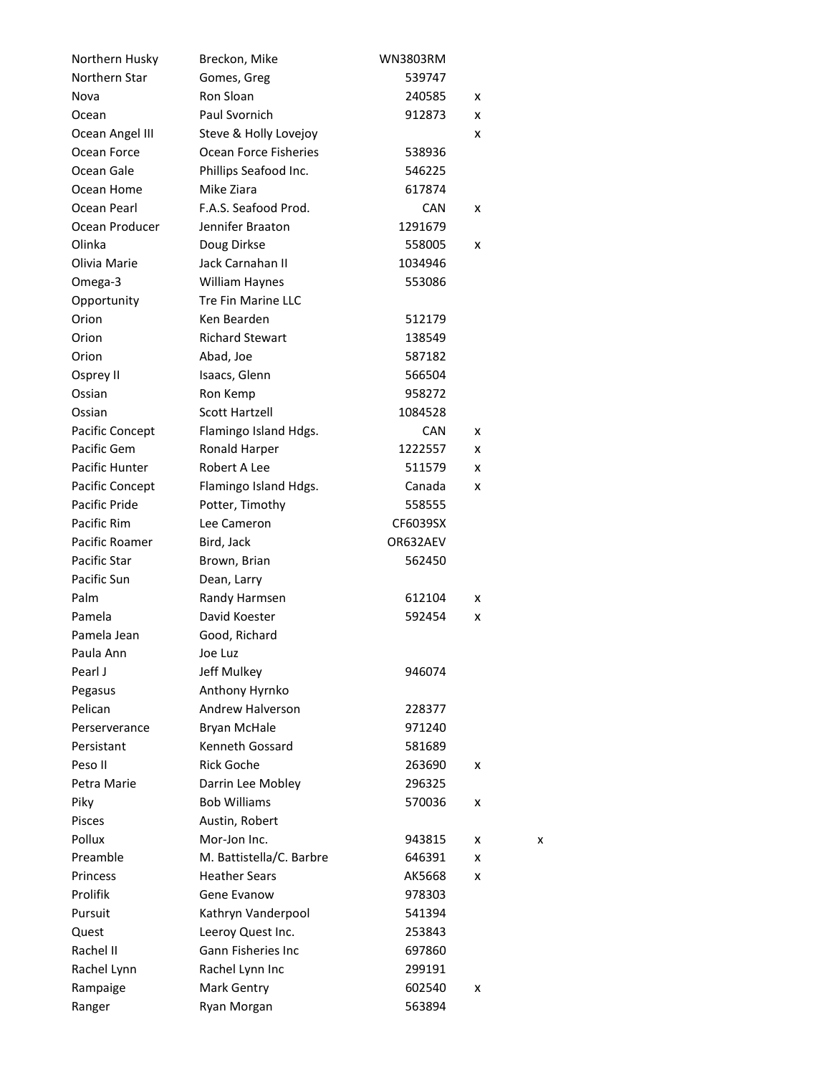| Northern Husky  | Breckon, Mike                | <b>WN3803RM</b> |   |   |
|-----------------|------------------------------|-----------------|---|---|
| Northern Star   | Gomes, Greg                  | 539747          |   |   |
| Nova            | Ron Sloan                    | 240585          | x |   |
| Ocean           | Paul Svornich                | 912873          | x |   |
| Ocean Angel III | Steve & Holly Lovejoy        |                 | x |   |
| Ocean Force     | <b>Ocean Force Fisheries</b> | 538936          |   |   |
| Ocean Gale      | Phillips Seafood Inc.        | 546225          |   |   |
| Ocean Home      | Mike Ziara                   | 617874          |   |   |
| Ocean Pearl     | F.A.S. Seafood Prod.         | <b>CAN</b>      | x |   |
| Ocean Producer  | Jennifer Braaton             | 1291679         |   |   |
| Olinka          | Doug Dirkse                  | 558005          | x |   |
| Olivia Marie    | Jack Carnahan II             | 1034946         |   |   |
| Omega-3         | <b>William Haynes</b>        | 553086          |   |   |
| Opportunity     | <b>Tre Fin Marine LLC</b>    |                 |   |   |
| Orion           | Ken Bearden                  | 512179          |   |   |
| Orion           | <b>Richard Stewart</b>       | 138549          |   |   |
| Orion           | Abad, Joe                    | 587182          |   |   |
| Osprey II       | Isaacs, Glenn                | 566504          |   |   |
| Ossian          | Ron Kemp                     | 958272          |   |   |
| Ossian          | <b>Scott Hartzell</b>        | 1084528         |   |   |
| Pacific Concept | Flamingo Island Hdgs.        | <b>CAN</b>      | x |   |
| Pacific Gem     | Ronald Harper                | 1222557         | x |   |
| Pacific Hunter  | Robert A Lee                 | 511579          | x |   |
| Pacific Concept | Flamingo Island Hdgs.        | Canada          | x |   |
| Pacific Pride   | Potter, Timothy              | 558555          |   |   |
| Pacific Rim     | Lee Cameron                  | CF6039SX        |   |   |
| Pacific Roamer  | Bird, Jack                   | OR632AEV        |   |   |
| Pacific Star    | Brown, Brian                 | 562450          |   |   |
| Pacific Sun     | Dean, Larry                  |                 |   |   |
| Palm            | Randy Harmsen                | 612104          | x |   |
| Pamela          | David Koester                | 592454          | x |   |
| Pamela Jean     | Good, Richard                |                 |   |   |
| Paula Ann       | Joe Luz                      |                 |   |   |
| Pearl J         | Jeff Mulkey                  | 946074          |   |   |
| Pegasus         | Anthony Hyrnko               |                 |   |   |
| Pelican         | Andrew Halverson             | 228377          |   |   |
| Perserverance   | <b>Bryan McHale</b>          | 971240          |   |   |
| Persistant      | Kenneth Gossard              | 581689          |   |   |
| Peso II         | <b>Rick Goche</b>            | 263690          | x |   |
| Petra Marie     | Darrin Lee Mobley            | 296325          |   |   |
| Piky            | <b>Bob Williams</b>          | 570036          | x |   |
| <b>Pisces</b>   | Austin, Robert               |                 |   |   |
| Pollux          | Mor-Jon Inc.                 | 943815          | x | x |
| Preamble        | M. Battistella/C. Barbre     | 646391          | x |   |
| Princess        | <b>Heather Sears</b>         | AK5668          | x |   |
| Prolifik        | Gene Evanow                  | 978303          |   |   |
| Pursuit         | Kathryn Vanderpool           | 541394          |   |   |
| Quest           | Leeroy Quest Inc.            | 253843          |   |   |
| Rachel II       | <b>Gann Fisheries Inc</b>    | 697860          |   |   |
| Rachel Lynn     | Rachel Lynn Inc              | 299191          |   |   |
| Rampaige        | Mark Gentry                  | 602540          | x |   |
| Ranger          | Ryan Morgan                  | 563894          |   |   |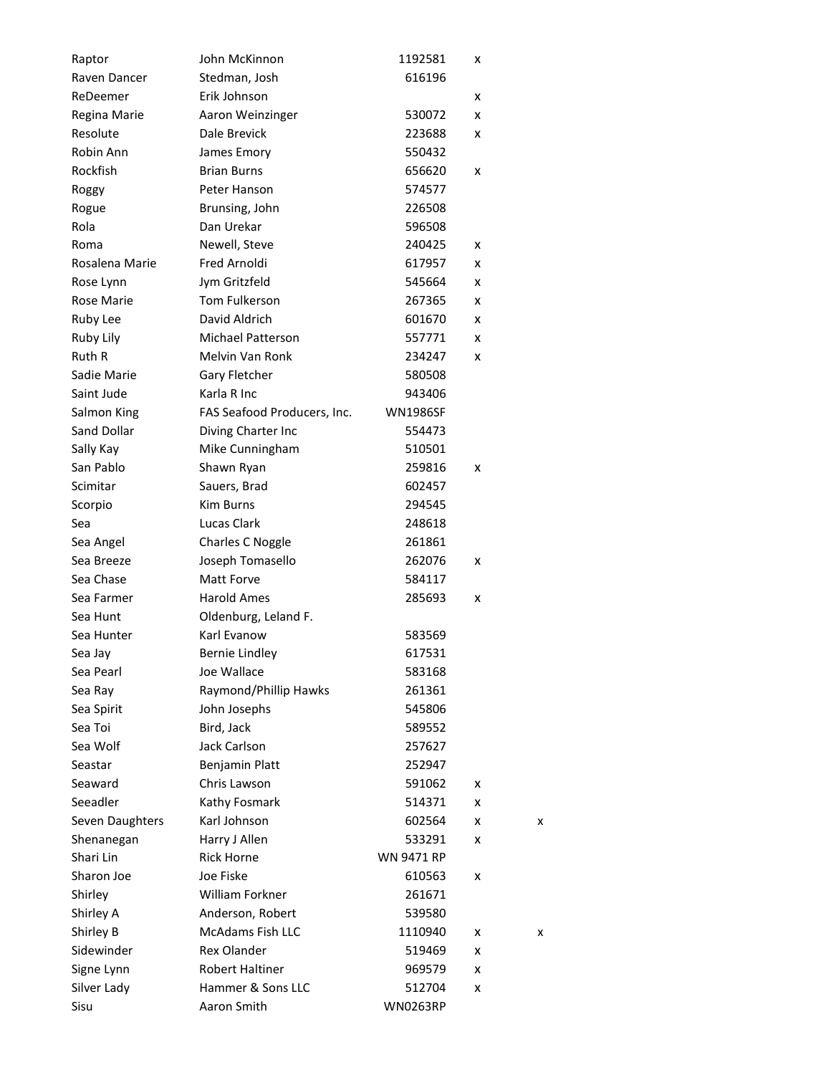| Raptor          | John McKinnon               | 1192581           | x |   |
|-----------------|-----------------------------|-------------------|---|---|
| Raven Dancer    | Stedman, Josh               | 616196            |   |   |
| ReDeemer        | Erik Johnson                |                   | x |   |
| Regina Marie    | Aaron Weinzinger            | 530072            | x |   |
| Resolute        | Dale Brevick                | 223688            | x |   |
| Robin Ann       | James Emory                 | 550432            |   |   |
| Rockfish        | <b>Brian Burns</b>          | 656620            | x |   |
| Roggy           | Peter Hanson                | 574577            |   |   |
| Rogue           | Brunsing, John              | 226508            |   |   |
| Rola            | Dan Urekar                  | 596508            |   |   |
| Roma            | Newell, Steve               | 240425            | x |   |
| Rosalena Marie  | Fred Arnoldi                | 617957            | x |   |
| Rose Lynn       | Jym Gritzfeld               | 545664            | x |   |
| Rose Marie      | Tom Fulkerson               | 267365            | x |   |
| Ruby Lee        | David Aldrich               | 601670            | x |   |
| Ruby Lily       | Michael Patterson           | 557771            | x |   |
| Ruth R          | Melvin Van Ronk             | 234247            | x |   |
| Sadie Marie     | Gary Fletcher               | 580508            |   |   |
| Saint Jude      | Karla R Inc                 | 943406            |   |   |
| Salmon King     | FAS Seafood Producers, Inc. | <b>WN1986SF</b>   |   |   |
| Sand Dollar     | Diving Charter Inc          | 554473            |   |   |
| Sally Kay       | Mike Cunningham             | 510501            |   |   |
| San Pablo       | Shawn Ryan                  | 259816            | x |   |
| Scimitar        | Sauers, Brad                | 602457            |   |   |
| Scorpio         | <b>Kim Burns</b>            | 294545            |   |   |
| Sea             | Lucas Clark                 | 248618            |   |   |
| Sea Angel       | Charles C Noggle            | 261861            |   |   |
| Sea Breeze      | Joseph Tomasello            | 262076            | x |   |
| Sea Chase       | Matt Forve                  | 584117            |   |   |
| Sea Farmer      | Harold Ames                 | 285693            | x |   |
| Sea Hunt        | Oldenburg, Leland F.        |                   |   |   |
| Sea Hunter      | Karl Evanow                 | 583569            |   |   |
| Sea Jay         | <b>Bernie Lindley</b>       | 617531            |   |   |
| Sea Pearl       | Joe Wallace                 | 583168            |   |   |
| Sea Ray         | Raymond/Phillip Hawks       | 261361            |   |   |
| Sea Spirit      | John Josephs                | 545806            |   |   |
| Sea Toi         | Bird, Jack                  | 589552            |   |   |
| Sea Wolf        | <b>Jack Carlson</b>         | 257627            |   |   |
| Seastar         | Benjamin Platt              | 252947            |   |   |
| Seaward         | Chris Lawson                | 591062            | x |   |
| Seeadler        | Kathy Fosmark               | 514371            | x |   |
| Seven Daughters | Karl Johnson                | 602564            | x | x |
| Shenanegan      | Harry J Allen               | 533291            | x |   |
| Shari Lin       | <b>Rick Horne</b>           | <b>WN 9471 RP</b> |   |   |
| Sharon Joe      | Joe Fiske                   | 610563            | x |   |
| Shirley         | <b>William Forkner</b>      | 261671            |   |   |
| Shirley A       | Anderson, Robert            | 539580            |   |   |
| Shirley B       | McAdams Fish LLC            | 1110940           | x | x |
| Sidewinder      | <b>Rex Olander</b>          | 519469            | x |   |
| Signe Lynn      | <b>Robert Haltiner</b>      | 969579            | x |   |
| Silver Lady     | Hammer & Sons LLC           | 512704            | x |   |
| Sisu            | Aaron Smith                 | <b>WN0263RP</b>   |   |   |
|                 |                             |                   |   |   |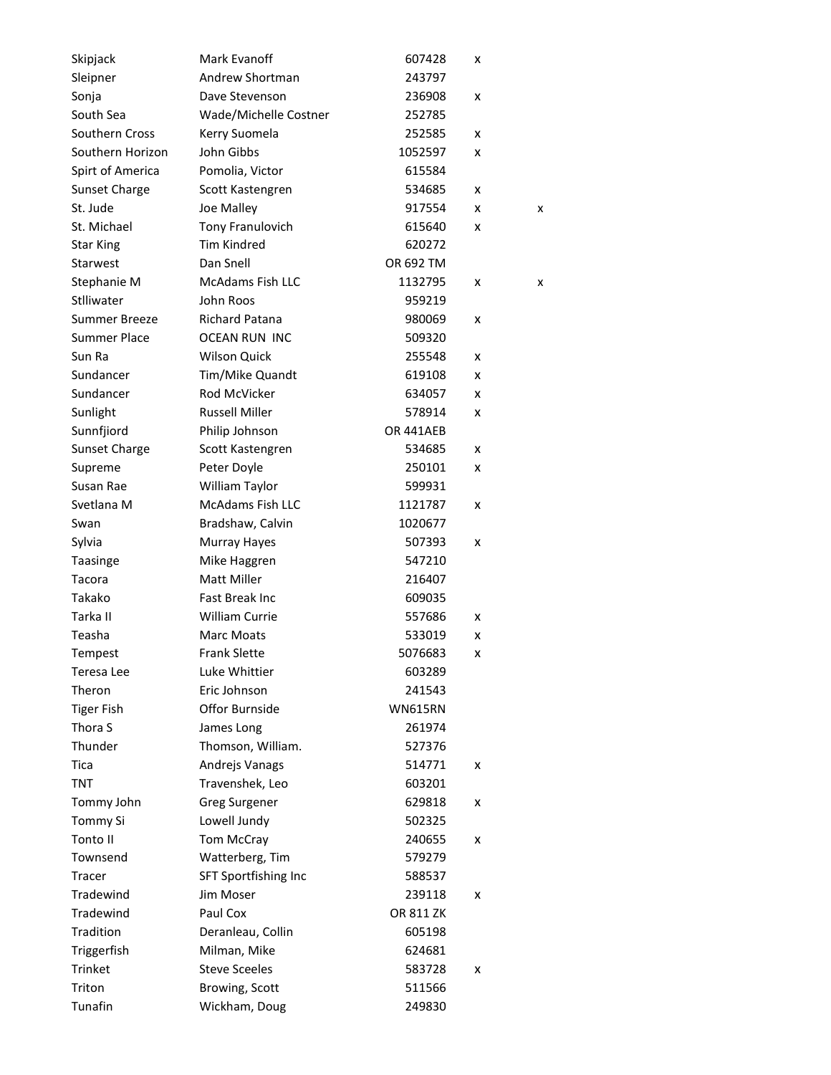| Skipjack            | Mark Evanoff            | 607428         | x |   |
|---------------------|-------------------------|----------------|---|---|
| Sleipner            | Andrew Shortman         | 243797         |   |   |
| Sonja               | Dave Stevenson          | 236908         | x |   |
| South Sea           | Wade/Michelle Costner   | 252785         |   |   |
| Southern Cross      | Kerry Suomela           | 252585         | x |   |
| Southern Horizon    | John Gibbs              | 1052597        | x |   |
| Spirt of America    | Pomolia, Victor         | 615584         |   |   |
| Sunset Charge       | Scott Kastengren        | 534685         | x |   |
| St. Jude            | Joe Malley              | 917554         | x | x |
| St. Michael         | <b>Tony Franulovich</b> | 615640         | x |   |
| <b>Star King</b>    | <b>Tim Kindred</b>      | 620272         |   |   |
| Starwest            | Dan Snell               | OR 692 TM      |   |   |
| Stephanie M         | <b>McAdams Fish LLC</b> | 1132795        | x | x |
| Stlliwater          | John Roos               | 959219         |   |   |
| Summer Breeze       | Richard Patana          | 980069         | x |   |
| <b>Summer Place</b> | OCEAN RUN INC           | 509320         |   |   |
| Sun Ra              | <b>Wilson Quick</b>     | 255548         | x |   |
| Sundancer           | Tim/Mike Quandt         | 619108         | x |   |
| Sundancer           | Rod McVicker            | 634057         | x |   |
| Sunlight            | <b>Russell Miller</b>   | 578914         | x |   |
| Sunnfjiord          | Philip Johnson          | OR 441AEB      |   |   |
| Sunset Charge       | Scott Kastengren        | 534685         | x |   |
| Supreme             | Peter Doyle             | 250101         | x |   |
| Susan Rae           | William Taylor          | 599931         |   |   |
| Svetlana M          | <b>McAdams Fish LLC</b> | 1121787        | x |   |
| Swan                | Bradshaw, Calvin        | 1020677        |   |   |
| Sylvia              | Murray Hayes            | 507393         | x |   |
| Taasinge            | Mike Haggren            | 547210         |   |   |
| Tacora              | <b>Matt Miller</b>      | 216407         |   |   |
| Takako              | <b>Fast Break Inc</b>   | 609035         |   |   |
| Tarka II            | <b>William Currie</b>   | 557686         | x |   |
| Teasha              | <b>Marc Moats</b>       | 533019         | x |   |
| Tempest             | <b>Frank Slette</b>     | 5076683        | x |   |
| Teresa Lee          | Luke Whittier           | 603289         |   |   |
| Theron              | Eric Johnson            | 241543         |   |   |
| <b>Tiger Fish</b>   | Offor Burnside          | <b>WN615RN</b> |   |   |
| Thora S             | James Long              | 261974         |   |   |
| Thunder             | Thomson, William.       | 527376         |   |   |
| Tica                | Andrejs Vanags          | 514771         | x |   |
| TNT                 | Travenshek, Leo         | 603201         |   |   |
| Tommy John          | <b>Greg Surgener</b>    | 629818         | x |   |
| Tommy Si            | Lowell Jundy            | 502325         |   |   |
| Tonto II            | Tom McCray              | 240655         | x |   |
| Townsend            | Watterberg, Tim         | 579279         |   |   |
| Tracer              | SFT Sportfishing Inc    | 588537         |   |   |
| Tradewind           | Jim Moser               | 239118         | x |   |
| Tradewind           | Paul Cox                | OR 811 ZK      |   |   |
| Tradition           | Deranleau, Collin       | 605198         |   |   |
| Triggerfish         | Milman, Mike            | 624681         |   |   |
| Trinket             | <b>Steve Sceeles</b>    | 583728         | x |   |
| Triton              | Browing, Scott          | 511566         |   |   |
| Tunafin             | Wickham, Doug           | 249830         |   |   |